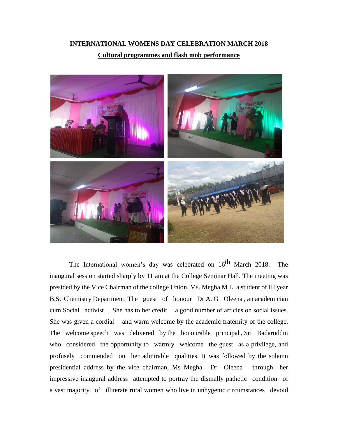## **INTERNATIONAL WOMENS DAY CELEBRATION MARCH 2018**

## **Cultural programmes and flash mob performance**



The International women's day was celebrated on 16<sup>th</sup> March 2018. The inaugural session started sharply by 11 am at the College Seminar Hall. The meeting was presided by the Vice Chairman of the college Union, Ms. Megha M L, a student of III year B.Sc Chemistry Department. The guest of honour Dr A. G Oleena , an academician cum Social activist . She has to her credit a good number of articles on social issues. She was given a cordial and warm welcome by the academic fraternity of the college. The welcome speech was delivered by the honourable principal , Sri Badaruddin who considered the opportunity to warmly welcome the guest as a privilege, and profusely commended on her admirable qualities. It was followed by the solemn presidential address by the vice chairman, Ms Megha. Dr Oleena through her impressive inaugural address attempted to portray the dismally pathetic condition of a vast majority of illiterate rural women who live in unhygenic circumstances devoid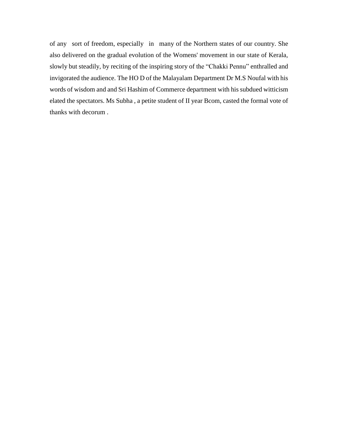of any sort of freedom, especially in many of the Northern states of our country. She also delivered on the gradual evolution of the Womens' movement in our state of Kerala, slowly but steadily, by reciting of the inspiring story of the "Chakki Pennu" enthralled and invigorated the audience. The HO D of the Malayalam Department Dr M.S Noufal with his words of wisdom and and Sri Hashim of Commerce department with his subdued witticism elated the spectators. Ms Subha , a petite student of II year Bcom, casted the formal vote of thanks with decorum .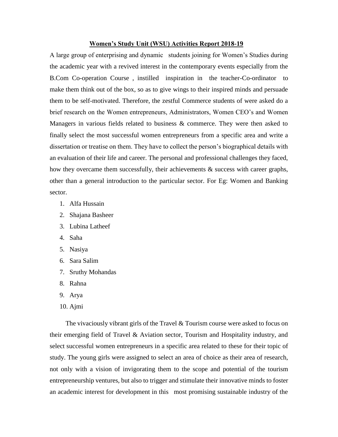## **Women's Study Unit (WSU) Activities Report 2018-19**

A large group of enterprising and dynamic students joining for Women's Studies during the academic year with a revived interest in the contemporary events especially from the B.Com Co-operation Course , instilled inspiration in the teacher-Co-ordinator to make them think out of the box, so as to give wings to their inspired minds and persuade them to be self-motivated. Therefore, the zestful Commerce students of were asked do a brief research on the Women entrepreneurs, Administrators, Women CEO's and Women Managers in various fields related to business & commerce. They were then asked to finally select the most successful women entrepreneurs from a specific area and write a dissertation or treatise on them. They have to collect the person's biographical details with an evaluation of their life and career. The personal and professional challenges they faced, how they overcame them successfully, their achievements  $\&$  success with career graphs, other than a general introduction to the particular sector. For Eg: Women and Banking sector.

- 1. Alfa Hussain
- 2. Shajana Basheer
- 3. Lubina Latheef
- 4. Saha
- 5. Nasiya
- 6. Sara Salim
- 7. Sruthy Mohandas
- 8. Rahna
- 9. Arya
- 10. Ajmi

 The vivaciously vibrant girls of the Travel & Tourism course were asked to focus on their emerging field of Travel & Aviation sector, Tourism and Hospitality industry, and select successful women entrepreneurs in a specific area related to these for their topic of study. The young girls were assigned to select an area of choice as their area of research, not only with a vision of invigorating them to the scope and potential of the tourism entrepreneurship ventures, but also to trigger and stimulate their innovative minds to foster an academic interest for development in this most promising sustainable industry of the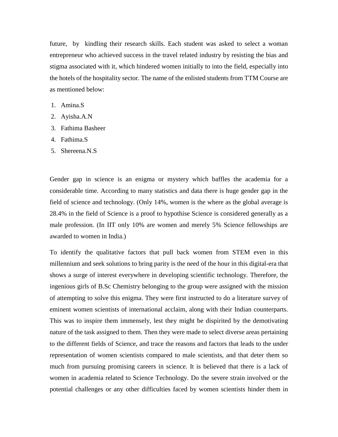future, by kindling their research skills. Each student was asked to select a woman entrepreneur who achieved success in the travel related industry by resisting the bias and stigma associated with it, which hindered women initially to into the field, especially into the hotels of the hospitality sector. The name of the enlisted students from TTM Course are as mentioned below:

- 1. Amina.S
- 2. Ayisha.A.N
- 3. Fathima Basheer
- 4. Fathima.S
- 5. Shereena.N.S

Gender gap in science is an enigma or mystery which baffles the academia for a considerable time. According to many statistics and data there is huge gender gap in the field of science and technology. (Only 14%, women is the where as the global average is 28.4% in the field of Science is a proof to hypothise Science is considered generally as a male profession. (In IIT only 10% are women and merely 5% Science fellowships are awarded to women in India.)

To identify the qualitative factors that pull back women from STEM even in this millennium and seek solutions to bring parity is the need of the hour in this digital-era that shows a surge of interest everywhere in developing scientific technology. Therefore, the ingenious girls of B.Sc Chemistry belonging to the group were assigned with the mission of attempting to solve this enigma. They were first instructed to do a literature survey of eminent women scientists of international acclaim, along with their Indian counterparts. This was to inspire them immensely, lest they might be dispirited by the demotivating nature of the task assigned to them. Then they were made to select diverse areas pertaining to the different fields of Science, and trace the reasons and factors that leads to the under representation of women scientists compared to male scientists, and that deter them so much from pursuing promising careers in science. It is believed that there is a lack of women in academia related to Science Technology. Do the severe strain involved or the potential challenges or any other difficulties faced by women scientists hinder them in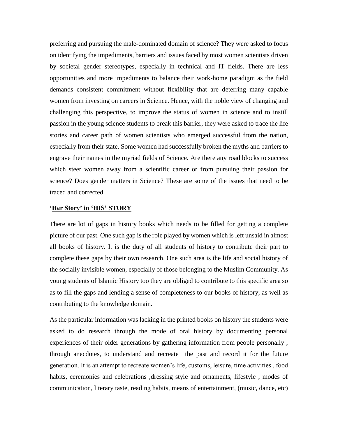preferring and pursuing the male-dominated domain of science? They were asked to focus on identifying the impediments, barriers and issues faced by most women scientists driven by societal gender stereotypes, especially in technical and IT fields. There are less opportunities and more impediments to balance their work-home paradigm as the field demands consistent commitment without flexibility that are deterring many capable women from investing on careers in Science. Hence, with the noble view of changing and challenging this perspective, to improve the status of women in science and to instill passion in the young science students to break this barrier, they were asked to trace the life stories and career path of women scientists who emerged successful from the nation, especially from their state. Some women had successfully broken the myths and barriers to engrave their names in the myriad fields of Science. Are there any road blocks to success which steer women away from a scientific career or from pursuing their passion for science? Does gender matters in Science? These are some of the issues that need to be traced and corrected.

## **'Her Story' in 'HIS' STORY**

There are lot of gaps in history books which needs to be filled for getting a complete picture of our past. One such gap is the role played by women which is left unsaid in almost all books of history. It is the duty of all students of history to contribute their part to complete these gaps by their own research. One such area is the life and social history of the socially invisible women, especially of those belonging to the Muslim Community. As young students of Islamic History too they are obliged to contribute to this specific area so as to fill the gaps and lending a sense of completeness to our books of history, as well as contributing to the knowledge domain.

As the particular information was lacking in the printed books on history the students were asked to do research through the mode of oral history by documenting personal experiences of their older generations by gathering information from people personally , through anecdotes, to understand and recreate the past and record it for the future generation. It is an attempt to recreate women's life, customs, leisure, time activities , food habits, ceremonies and celebrations ,dressing style and ornaments, lifestyle , modes of communication, literary taste, reading habits, means of entertainment, (music, dance, etc)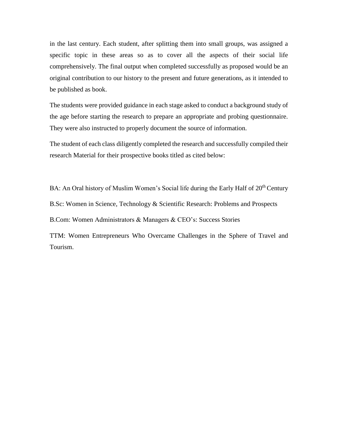in the last century. Each student, after splitting them into small groups, was assigned a specific topic in these areas so as to cover all the aspects of their social life comprehensively. The final output when completed successfully as proposed would be an original contribution to our history to the present and future generations, as it intended to be published as book.

The students were provided guidance in each stage asked to conduct a background study of the age before starting the research to prepare an appropriate and probing questionnaire. They were also instructed to properly document the source of information.

The student of each class diligently completed the research and successfully compiled their research Material for their prospective books titled as cited below:

BA: An Oral history of Muslim Women's Social life during the Early Half of 20<sup>th</sup> Century B.Sc: Women in Science, Technology & Scientific Research: Problems and Prospects B.Com: Women Administrators & Managers & CEO's: Success Stories

TTM: Women Entrepreneurs Who Overcame Challenges in the Sphere of Travel and Tourism.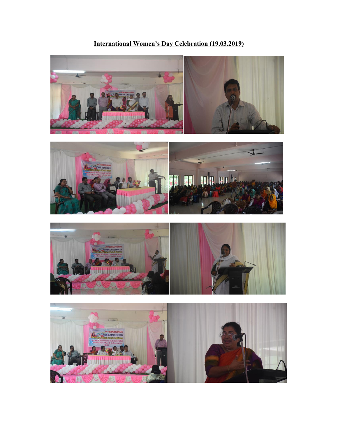**International Women's Day Celebration (19.03.2019)**